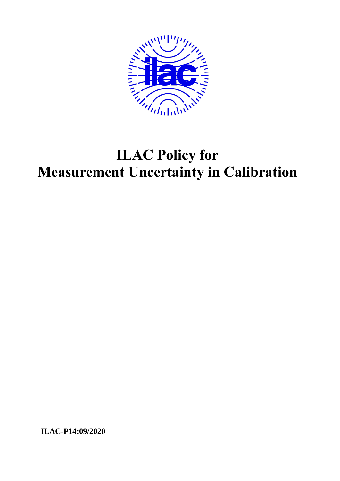

# **ILAC Policy for Measurement Uncertainty in Calibration**

**ILAC-P14:09/2020**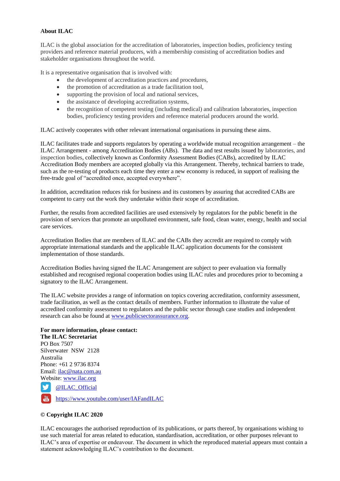#### **About ILAC**

ILAC is the global association for the accreditation of laboratories, inspection bodies, proficiency testing providers and reference material producers, with a membership consisting of accreditation bodies and stakeholder organisations throughout the world.

It is a representative organisation that is involved with:

- the development of accreditation practices and procedures,
- the promotion of accreditation as a trade facilitation tool,
- supporting the provision of local and national services,
- the assistance of developing accreditation systems,
- the recognition of competent testing (including medical) and calibration laboratories, inspection bodies, proficiency testing providers and reference material producers around the world.

ILAC actively cooperates with other relevant international organisations in pursuing these aims.

ILAC facilitates trade and supports regulators by operating a worldwide mutual recognition arrangement – the ILAC Arrangement - among Accreditation Bodies (ABs). The data and test results issued by laboratories, and inspection bodies, collectively known as Conformity Assessment Bodies (CABs), accredited by ILAC Accreditation Body members are accepted globally via this Arrangement. Thereby, technical barriers to trade, such as the re-testing of products each time they enter a new economy is reduced, in support of realising the free-trade goal of "accredited once, accepted everywhere".

In addition, accreditation reduces risk for business and its customers by assuring that accredited CABs are competent to carry out the work they undertake within their scope of accreditation.

Further, the results from accredited facilities are used extensively by regulators for the public benefit in the provision of services that promote an unpolluted environment, safe food, clean water, energy, health and social care services.

Accreditation Bodies that are members of ILAC and the CABs they accredit are required to comply with appropriate international standards and the applicable ILAC application documents for the consistent implementation of those standards.

Accreditation Bodies having signed the ILAC Arrangement are subject to peer evaluation via formally established and recognised regional cooperation bodies using ILAC rules and procedures prior to becoming a signatory to the ILAC Arrangement.

The ILAC website provides a range of information on topics covering accreditation, conformity assessment, trade facilitation, as well as the contact details of members. Further information to illustrate the value of accredited conformity assessment to regulators and the public sector through case studies and independent research can also be found at www.publicsectorassurance.org.

# **For more information, please contact:**

**The ILAC Secretariat** PO Box 7507 Silverwater NSW 2128 Australia Phone: +61 2 9736 8374 Email: ilac@nata.com.au Website: www.ilac.org W @ILAC\_Official

https://www.youtube.com/user/IAFandILAC

#### **© Copyright ILAC 2020**

ILAC encourages the authorised reproduction of its publications, or parts thereof, by organisations wishing to use such material for areas related to education, standardisation, accreditation, or other purposes relevant to ILAC's area of expertise or endeavour. The document in which the reproduced material appears must contain a statement acknowledging ILAC's contribution to the document.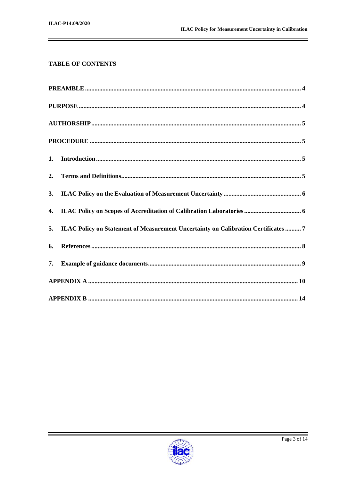# **TABLE OF CONTENTS**

|    | 5. ILAC Policy on Statement of Measurement Uncertainty on Calibration Certificates  7 |  |  |
|----|---------------------------------------------------------------------------------------|--|--|
| 6. |                                                                                       |  |  |
| 7. |                                                                                       |  |  |
|    |                                                                                       |  |  |
|    |                                                                                       |  |  |

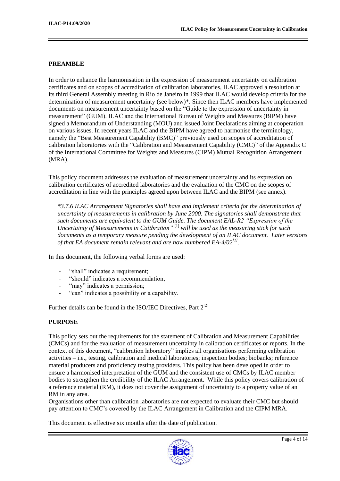#### **PREAMBLE**

In order to enhance the harmonisation in the expression of measurement uncertainty on calibration certificates and on scopes of accreditation of calibration laboratories, ILAC approved a resolution at its third General Assembly meeting in Rio de Janeiro in 1999 that ILAC would develop criteria for the determination of measurement uncertainty (see below)\*. Since then ILAC members have implemented documents on measurement uncertainty based on the "Guide to the expression of uncertainty in measurement" (GUM). ILAC and the International Bureau of Weights and Measures (BIPM) have signed a Memorandum of Understanding (MOU) and issued Joint Declarations aiming at cooperation on various issues. In recent years ILAC and the BIPM have agreed to harmonise the terminology, namely the "Best Measurement Capability (BMC)" previously used on scopes of accreditation of calibration laboratories with the "Calibration and Measurement Capability (CMC)" of the Appendix C of the International Committee for Weights and Measures (CIPM) Mutual Recognition Arrangement (MRA).

This policy document addresses the evaluation of measurement uncertainty and its expression on calibration certificates of accredited laboratories and the evaluation of the CMC on the scopes of accreditation in line with the principles agreed upon between ILAC and the BIPM (see annex).

*\*3.7.6 ILAC Arrangement Signatories shall have and implement criteria for the determination of uncertainty of measurements in calibration by June 2000. The signatories shall demonstrate that such documents are equivalent to the GUM Guide. The document EAL-R2 "Expression of the Uncertainty of Measurements in Calibration"* [1] *will be used as the measuring stick for such documents as a temporary measure pending the development of an ILAC document. Later versions of that EA document remain relevant and are now numbered EA-4/02[1] .*

In this document, the following verbal forms are used:

- "shall" indicates a requirement;
- "should" indicates a recommendation;
- "may" indicates a permission;
- "can" indicates a possibility or a capability.

Further details can be found in the ISO/IEC Directives, Part  $2^{[2]}$ 

# **PURPOSE**

This policy sets out the requirements for the statement of Calibration and Measurement Capabilities (CMCs) and for the evaluation of measurement uncertainty in calibration certificates or reports. In the context of this document, "calibration laboratory" implies all organisations performing calibration activities – i.e., testing, calibration and medical laboratories; inspection bodies; biobanks; reference material producers and proficiency testing providers. This policy has been developed in order to ensure a harmonised interpretation of the GUM and the consistent use of CMCs by ILAC member bodies to strengthen the credibility of the ILAC Arrangement. While this policy covers calibration of a reference material (RM), it does not cover the assignment of uncertainty to a property value of an RM in any area.

Organisations other than calibration laboratories are not expected to evaluate their CMC but should pay attention to CMC's covered by the ILAC Arrangement in Calibration and the CIPM MRA.

This document is effective six months after the date of publication.

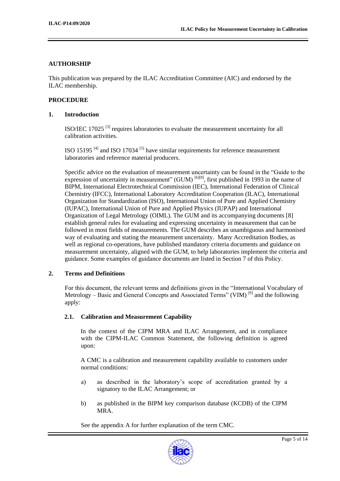# **AUTHORSHIP**

This publication was prepared by the ILAC Accreditation Committee (AIC) and endorsed by the ILAC membership.

#### **PROCEDURE**

#### **1. Introduction**

ISO/IEC 17025<sup>[3]</sup> requires laboratories to evaluate the measurement uncertainty for all calibration activities.

ISO 15195<sup> $[4]$ </sup> and ISO 17034<sup> $[5]$ </sup> have similar requirements for reference measurement laboratories and reference material producers.

Specific advice on the evaluation of measurement uncertainty can be found in the "Guide to the expression of uncertainty in measurement"  $(GUM)$  [6][8], first published in 1993 in the name of BIPM, International Electrotechnical Commission (IEC), International Federation of Clinical Chemistry (IFCC), International Laboratory Accreditation Cooperation (ILAC), International Organization for Standardization (ISO), International Union of Pure and Applied Chemistry (IUPAC), International Union of Pure and Applied Physics (IUPAP) and International Organization of Legal Metrology (OIML). The GUM and its accompanying documents [8] establish general rules for evaluating and expressing uncertainty in measurement that can be followed in most fields of measurements. The GUM describes an unambiguous and harmonised way of evaluating and stating the measurement uncertainty. Many Accreditation Bodies, as well as regional co-operations, have published mandatory criteria documents and guidance on measurement uncertainty, aligned with the GUM, to help laboratories implement the criteria and guidance. Some examples of guidance documents are listed in Section 7 of this Policy.

#### **2. Terms and Definitions**

For this document, the relevant terms and definitions given in the "International Vocabulary of Metrology – Basic and General Concepts and Associated Terms" (VIM)<sup>[9]</sup> and the following apply:

#### **2.1. Calibration and Measurement Capability**

In the context of the CIPM MRA and ILAC Arrangement, and in compliance with the CIPM-ILAC Common Statement, the following definition is agreed upon:

A CMC is a calibration and measurement capability available to customers under normal conditions:

- a) as described in the laboratory's scope of accreditation granted by a signatory to the ILAC Arrangement; or
- b) as published in the BIPM key comparison database (KCDB) of the CIPM MRA.

See the appendix A for further explanation of the term CMC*.*

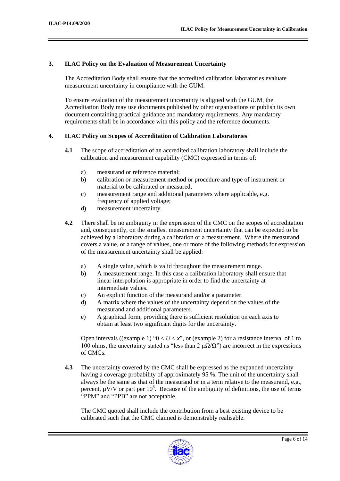#### **3. ILAC Policy on the Evaluation of Measurement Uncertainty**

The Accreditation Body shall ensure that the accredited calibration laboratories evaluate measurement uncertainty in compliance with the GUM.

To ensure evaluation of the measurement uncertainty is aligned with the GUM, the Accreditation Body may use documents published by other organisations or publish its own document containing practical guidance and mandatory requirements. Any mandatory requirements shall be in accordance with this policy and the reference documents.

# **4. ILAC Policy on Scopes of Accreditation of Calibration Laboratories**

- **4.1** The scope of accreditation of an accredited calibration laboratory shall include the calibration and measurement capability (CMC) expressed in terms of:
	- a) measurand or reference material;
	- b) calibration or measurement method or procedure and type of instrument or material to be calibrated or measured;
	- c) measurement range and additional parameters where applicable, e.g. frequency of applied voltage;
	- d) measurement uncertainty.
- **4.2** There shall be no ambiguity in the expression of the CMC on the scopes of accreditation and, consequently, on the smallest measurement uncertainty that can be expected to be achieved by a laboratory during a calibration or a measurement. Where the measurand covers a value, or a range of values, one or more of the following methods for expression of the measurement uncertainty shall be applied:
	- a) A single value, which is valid throughout the measurement range.
	- b) A measurement range. In this case a calibration laboratory shall ensure that linear interpolation is appropriate in order to find the uncertainty at intermediate values.
	- c) An explicit function of the measurand and/or a parameter.
	- d) A matrix where the values of the uncertainty depend on the values of the measurand and additional parameters.
	- e) A graphical form, providing there is sufficient resolution on each axis to obtain at least two significant digits for the uncertainty.

Open intervals ((example 1) " $0 < U < x$ ", or (example 2) for a resistance interval of 1 to 100 ohms, the uncertainty stated as "less than 2  $\mu\Omega/\Omega$ ") are incorrect in the expressions of CMCs.

**4.3** The uncertainty covered by the CMC shall be expressed as the expanded uncertainty having a coverage probability of approximately 95 %. The unit of the uncertainty shall always be the same as that of the measurand or in a term relative to the measurand, e.g., percent,  $\mu$ V/V or part per 10<sup>6</sup>. Because of the ambiguity of definitions, the use of terms "PPM" and "PPB" are not acceptable.

The CMC quoted shall include the contribution from a best existing device to be calibrated such that the CMC claimed is demonstrably realisable.

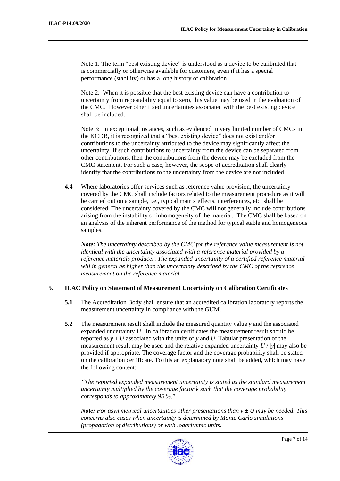Note 1: The term "best existing device" is understood as a device to be calibrated that is commercially or otherwise available for customers, even if it has a special performance (stability) or has a long history of calibration.

Note 2: When it is possible that the best existing device can have a contribution to uncertainty from repeatability equal to zero, this value may be used in the evaluation of the CMC. However other fixed uncertainties associated with the best existing device shall be included.

Note 3: In exceptional instances, such as evidenced in very limited number of CMCs in the KCDB, it is recognized that a "best existing device" does not exist and/or contributions to the uncertainty attributed to the device may significantly affect the uncertainty. If such contributions to uncertainty from the device can be separated from other contributions, then the contributions from the device may be excluded from the CMC statement. For such a case, however, the scope of accreditation shall clearly identify that the contributions to the uncertainty from the device are not included

**4.4** Where laboratories offer services such as reference value provision, the uncertainty covered by the CMC shall include factors related to the measurement procedure as it will be carried out on a sample, i.e., typical matrix effects, interferences, etc. shall be considered. The uncertainty covered by the CMC will not generally include contributions arising from the instability or inhomogeneity of the material. The CMC shall be based on an analysis of the inherent performance of the method for typical stable and homogeneous samples.

*Note: The uncertainty described by the CMC for the reference value measurement is not identical with the uncertainty associated with a reference material provided by a reference materials producer. The expanded uncertainty of a certified reference material will in general be higher than the uncertainty described by the CMC of the reference measurement on the reference material.*

# **5. ILAC Policy on Statement of Measurement Uncertainty on Calibration Certificates**

- **5.1** The Accreditation Body shall ensure that an accredited calibration laboratory reports the measurement uncertainty in compliance with the GUM.
- **5.2** The measurement result shall include the measured quantity value *y* and the associated expanded uncertainty *U.* In calibration certificates the measurement result should be reported as  $y \pm U$  associated with the units of y and U. Tabular presentation of the measurement result may be used and the relative expanded uncertainty  $U / |y|$  may also be provided if appropriate. The coverage factor and the coverage probability shall be stated on the calibration certificate. To this an explanatory note shall be added, which may have the following content:

*"The reported expanded measurement uncertainty is stated as the standard measurement uncertainty multiplied by the coverage factor k such that the coverage probability corresponds to approximately 95 %.*"

*Note: For asymmetrical uncertainties other presentations than y ± U may be needed. This concerns also cases when uncertainty is determined by Monte Carlo simulations (propagation of distributions) or with logarithmic units.*

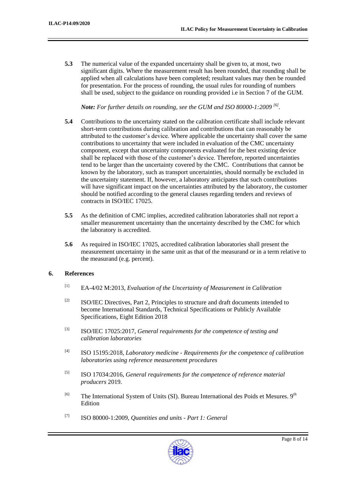**5.3** The numerical value of the expanded uncertainty shall be given to, at most, two significant digits. Where the measurement result has been rounded, that rounding shall be applied when all calculations have been completed; resultant values may then be rounded for presentation. For the process of rounding, the usual rules for rounding of numbers shall be used, subject to the guidance on rounding provided i.e in Section 7 of the GUM.

*Note: For further details on rounding, see the GUM and ISO 80000-1:2009 [6] .*

- **5.4** Contributions to the uncertainty stated on the calibration certificate shall include relevant short-term contributions during calibration and contributions that can reasonably be attributed to the customer's device. Where applicable the uncertainty shall cover the same contributions to uncertainty that were included in evaluation of the CMC uncertainty component, except that uncertainty components evaluated for the best existing device shall be replaced with those of the customer's device. Therefore, reported uncertainties tend to be larger than the uncertainty covered by the CMC. Contributions that cannot be known by the laboratory, such as transport uncertainties, should normally be excluded in the uncertainty statement. If, however, a laboratory anticipates that such contributions will have significant impact on the uncertainties attributed by the laboratory, the customer should be notified according to the general clauses regarding tenders and reviews of contracts in ISO/IEC 17025.
- **5.5** As the definition of CMC implies, accredited calibration laboratories shall not report a smaller measurement uncertainty than the uncertainty described by the CMC for which the laboratory is accredited.
- **5.6** As required in ISO/IEC 17025, accredited calibration laboratories shall present the measurement uncertainty in the same unit as that of the measurand or in a term relative to the measurand (e.g. percent).

# **6. References**

- [1] EA-4/02 M:2013, *Evaluation of the Uncertainty of Measurement in Calibration*
- <sup>[2]</sup> ISO/IEC Directives, Part 2, Principles to structure and draft documents intended to become International Standards, Technical Specifications or Publicly Available Specifications, Eight Edition 2018
- [3] ISO/IEC 17025:2017, *General requirements for the competence of testing and calibration laboratories*
- [4] ISO 15195:2018, *Laboratory medicine - Requirements for the competence of calibration laboratories using reference measurement procedures*
- [5] ISO 17034:2016, *General requirements for the competence of reference material producers* 2019.
- <sup>[6]</sup> The International System of Units (SI). Bureau International des Poids et Mesures. 9<sup>th</sup> Edition
- [7] ISO 80000-1:2009, *Quantities and units - Part 1: General*

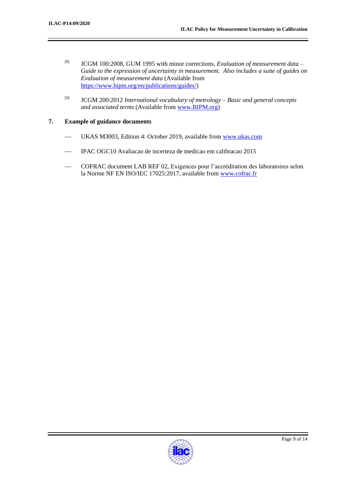- [8] JCGM 100:2008, GUM 1995 with minor corrections, *Evaluation of measurement data – Guide to the expression of uncertainty in measurement. Also includes a suite of guides on Evaluation of measurement data* (Available from https://www.bipm.org/en/publications/guides/)
- [9] JCGM 200:2012 *International vocabulary of metrology – Basic and general concepts and associated terms* (Available from www.BIPM.org)

#### **7. Example of guidance documents**

- UKAS M3003, Edition 4: October 2019, available from www.ukas.com
- IPAC OGC10 Avaliacao de incerteza de medicao em calibracao 2015
- COFRAC document LAB REF 02, Exigences pour l'accréditation des laboratoires selon la Norme NF EN ISO/IEC 17025:2017, available from www.cofrac.fr

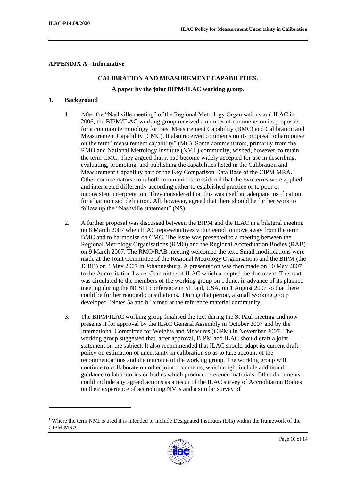# **APPENDIX A - Informative**

# **CALIBRATION AND MEASUREMENT CAPABILITIES. A paper by the joint BIPM/ILAC working group.**

#### **1. Background**

-

- 1. After the "Nashville meeting" of the Regional Metrology Organisations and ILAC in 2006, the BIPM/ILAC working group received a number of comments on its proposals for a common terminology for Best Measurement Capability (BMC) and Calibration and Measurement Capability (CMC). It also received comments on its proposal to harmonise on the term "measurement capability" (MC). Some commentators, primarily from the RMO and National Metrology Institute  $(NMI<sup>1</sup>)$  community, wished, however, to retain the term CMC. They argued that it had become widely accepted for use in describing, evaluating, promoting, and publishing the capabilities listed in the Calibration and Measurement Capability part of the Key Comparison Data Base of the CIPM MRA. Other commentators from both communities considered that the two terms were applied and interpreted differently according either to established practice or to poor or inconsistent interpretation. They considered that this was itself an adequate justification for a harmonized definition. All, however, agreed that there should be further work to follow up the "Nashville statement" (NS).
- 2. A further proposal was discussed between the BIPM and the ILAC in a bilateral meeting on 8 March 2007 when ILAC representatives volunteered to move away from the term BMC and to harmonise on CMC. The issue was presented to a meeting between the Regional Metrology Organisations (RMO) and the Regional Accreditation Bodies (RAB) on 9 March 2007. The RMO/RAB meeting welcomed the text. Small modifications were made at the Joint Committee of the Regional Metrology Organisations and the BIPM (the JCRB) on 3 May 2007 in Johannesburg. A presentation was then made on 10 May 2007 to the Accreditation Issues Committee of ILAC which accepted the document. This text was circulated to the members of the working group on 1 June, in advance of its planned meeting during the NCSLI conference in St Paul, USA, on 1 August 2007 so that there could be further regional consultations. During that period, a small working group developed "Notes 5a and b" aimed at the reference material community.
- 3. The BIPM/ILAC working group finalised the text during the St Paul meeting and now presents it for approval by the ILAC General Assembly in October 2007 and by the International Committee for Weights and Measures (CIPM) in November 2007. The working group suggested that, after approval, BIPM and ILAC should draft a joint statement on the subject. It also recommended that ILAC should adapt its current draft policy on estimation of uncertainty in calibration so as to take account of the recommendations and the outcome of the working group. The working group will continue to collaborate on other joint documents, which might include additional guidance to laboratories or bodies which produce reference materials. Other documents could include any agreed actions as a result of the ILAC survey of Accreditation Bodies on their experience of accrediting NMIs and a similar survey of

<sup>&</sup>lt;sup>1</sup> Where the term NMI is used it is intended to include Designated Institutes (DIs) within the framework of the CIPM MRA

![](_page_9_Picture_9.jpeg)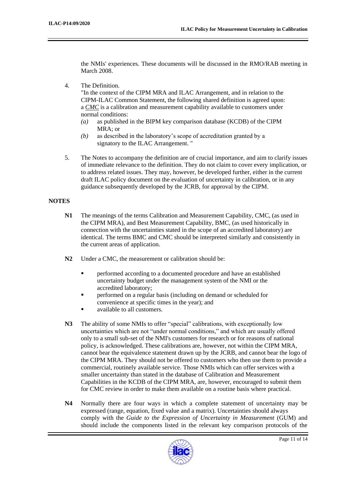the NMIs' experiences. These documents will be discussed in the RMO/RAB meeting in March 2008.

4. The Definition.

"In the context of the CIPM MRA and ILAC Arrangement, and in relation to the CIPM-ILAC Common Statement, the following shared definition is agreed upon: a *CMC* is a calibration and measurement capability available to customers under normal conditions:

- *(a)* as published in the BIPM key comparison database (KCDB) of the CIPM MRA; or
- *(b)* as described in the laboratory's scope of accreditation granted by a signatory to the ILAC Arrangement. "
- 5. The Notes to accompany the definition are of crucial importance, and aim to clarify issues of immediate relevance to the definition. They do not claim to cover every implication, or to address related issues. They may, however, be developed further, either in the current draft ILAC policy document on the evaluation of uncertainty in calibration, or in any guidance subsequently developed by the JCRB, for approval by the CIPM.

# **NOTES**

- **N1** The meanings of the terms Calibration and Measurement Capability, CMC, (as used in the CIPM MRA), and Best Measurement Capability, BMC, (as used historically in connection with the uncertainties stated in the scope of an accredited laboratory) are identical. The terms BMC and CMC should be interpreted similarly and consistently in the current areas of application.
- **N2** Under a CMC, the measurement or calibration should be:
	- **•** performed according to a documented procedure and have an established uncertainty budget under the management system of the NMI or the accredited laboratory;
	- performed on a regular basis (including on demand or scheduled for convenience at specific times in the year); and
	- available to all customers.
- **N3** The ability of some NMIs to offer "special" calibrations, with exceptionally low uncertainties which are not "under normal conditions," and which are usually offered only to a small sub-set of the NMI's customers for research or for reasons of national policy, is acknowledged. These calibrations are, however, not within the CIPM MRA, cannot bear the equivalence statement drawn up by the JCRB, and cannot bear the logo of the CIPM MRA. They should not be offered to customers who then use them to provide a commercial, routinely available service. Those NMIs which can offer services with a smaller uncertainty than stated in the database of Calibration and Measurement Capabilities in the KCDB of the CIPM MRA, are, however, encouraged to submit them for CMC review in order to make them available on a routine basis where practical.
- **N4** Normally there are four ways in which a complete statement of uncertainty may be expressed (range, equation, fixed value and a matrix). Uncertainties should always comply with the *Guide to the Expression of Uncertainty in Measurement* (GUM) and should include the components listed in the relevant key comparison protocols of the

![](_page_10_Picture_16.jpeg)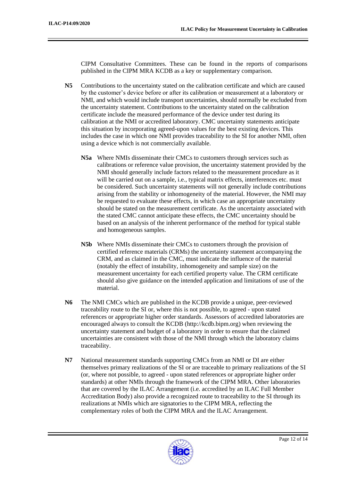CIPM Consultative Committees. These can be found in the reports of comparisons published in the CIPM MRA KCDB as a key or supplementary comparison.

- **N5** Contributions to the uncertainty stated on the calibration certificate and which are caused by the customer's device before or after its calibration or measurement at a laboratory or NMI, and which would include transport uncertainties, should normally be excluded from the uncertainty statement. Contributions to the uncertainty stated on the calibration certificate include the measured performance of the device under test during its calibration at the NMI or accredited laboratory. CMC uncertainty statements anticipate this situation by incorporating agreed-upon values for the best existing devices. This includes the case in which one NMI provides traceability to the SI for another NMI, often using a device which is not commercially available.
	- **N5a** Where NMIs disseminate their CMCs to customers through services such as calibrations or reference value provision, the uncertainty statement provided by the NMI should generally include factors related to the measurement procedure as it will be carried out on a sample, i.e., typical matrix effects, interferences etc. must be considered. Such uncertainty statements will not generally include contributions arising from the stability or inhomogeneity of the material. However, the NMI may be requested to evaluate these effects, in which case an appropriate uncertainty should be stated on the measurement certificate. As the uncertainty associated with the stated CMC cannot anticipate these effects, the CMC uncertainty should be based on an analysis of the inherent performance of the method for typical stable and homogeneous samples.
	- **N5b** Where NMIs disseminate their CMCs to customers through the provision of certified reference materials (CRMs) the uncertainty statement accompanying the CRM, and as claimed in the CMC, must indicate the influence of the material (notably the effect of instability, inhomogeneity and sample size) on the measurement uncertainty for each certified property value. The CRM certificate should also give guidance on the intended application and limitations of use of the material.
- **N6** The NMI CMCs which are published in the KCDB provide a unique, peer-reviewed traceability route to the SI or, where this is not possible, to agreed - upon stated references or appropriate higher order standards. Assessors of accredited laboratories are encouraged always to consult the KCDB (http://kcdb.bipm.org) when reviewing the uncertainty statement and budget of a laboratory in order to ensure that the claimed uncertainties are consistent with those of the NMI through which the laboratory claims traceability.
- **N7** National measurement standards supporting CMCs from an NMI or DI are either themselves primary realizations of the SI or are traceable to primary realizations of the SI (or, where not possible, to agreed - upon stated references or appropriate higher order standards) at other NMIs through the framework of the CIPM MRA. Other laboratories that are covered by the ILAC Arrangement (i.e. accredited by an ILAC Full Member Accreditation Body) also provide a recognized route to traceability to the SI through its realizations at NMIs which are signatories to the CIPM MRA, reflecting the complementary roles of both the CIPM MRA and the ILAC Arrangement.

![](_page_11_Picture_8.jpeg)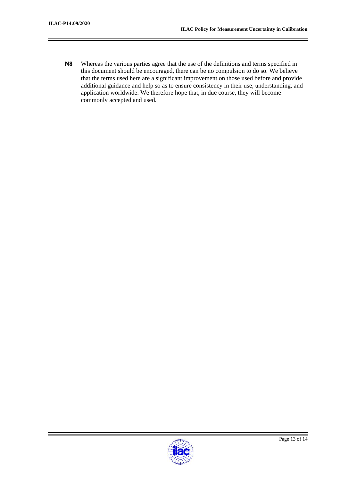**N8** Whereas the various parties agree that the use of the definitions and terms specified in this document should be encouraged, there can be no compulsion to do so. We believe that the terms used here are a significant improvement on those used before and provide additional guidance and help so as to ensure consistency in their use, understanding, and application worldwide. We therefore hope that, in due course, they will become commonly accepted and used.

![](_page_12_Picture_3.jpeg)